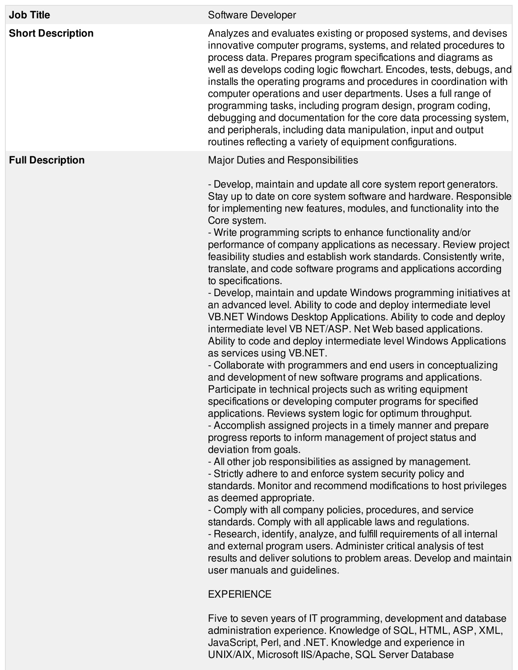| <b>Job Title</b>         | Software Developer                                                                                                                                                                                                                                                                                                                                                                                                                                                                                                                                                                                                                                                                                                                                                                                                                                                                                                                                                                                                                                                                                                                                                                                                                                                                                                                                                                                                                                                                                                                                                                                                                                                                                                                                                                                                                                                                                                                                                                                                                                                                                              |
|--------------------------|-----------------------------------------------------------------------------------------------------------------------------------------------------------------------------------------------------------------------------------------------------------------------------------------------------------------------------------------------------------------------------------------------------------------------------------------------------------------------------------------------------------------------------------------------------------------------------------------------------------------------------------------------------------------------------------------------------------------------------------------------------------------------------------------------------------------------------------------------------------------------------------------------------------------------------------------------------------------------------------------------------------------------------------------------------------------------------------------------------------------------------------------------------------------------------------------------------------------------------------------------------------------------------------------------------------------------------------------------------------------------------------------------------------------------------------------------------------------------------------------------------------------------------------------------------------------------------------------------------------------------------------------------------------------------------------------------------------------------------------------------------------------------------------------------------------------------------------------------------------------------------------------------------------------------------------------------------------------------------------------------------------------------------------------------------------------------------------------------------------------|
| <b>Short Description</b> | Analyzes and evaluates existing or proposed systems, and devises<br>innovative computer programs, systems, and related procedures to<br>process data. Prepares program specifications and diagrams as<br>well as develops coding logic flowchart. Encodes, tests, debugs, and<br>installs the operating programs and procedures in coordination with<br>computer operations and user departments. Uses a full range of<br>programming tasks, including program design, program coding,<br>debugging and documentation for the core data processing system,<br>and peripherals, including data manipulation, input and output<br>routines reflecting a variety of equipment configurations.                                                                                                                                                                                                                                                                                                                                                                                                                                                                                                                                                                                                                                                                                                                                                                                                                                                                                                                                                                                                                                                                                                                                                                                                                                                                                                                                                                                                                      |
| <b>Full Description</b>  | Major Duties and Responsibilities                                                                                                                                                                                                                                                                                                                                                                                                                                                                                                                                                                                                                                                                                                                                                                                                                                                                                                                                                                                                                                                                                                                                                                                                                                                                                                                                                                                                                                                                                                                                                                                                                                                                                                                                                                                                                                                                                                                                                                                                                                                                               |
|                          | - Develop, maintain and update all core system report generators.<br>Stay up to date on core system software and hardware. Responsible<br>for implementing new features, modules, and functionality into the<br>Core system.<br>- Write programming scripts to enhance functionality and/or<br>performance of company applications as necessary. Review project<br>feasibility studies and establish work standards. Consistently write,<br>translate, and code software programs and applications according<br>to specifications.<br>- Develop, maintain and update Windows programming initiatives at<br>an advanced level. Ability to code and deploy intermediate level<br>VB.NET Windows Desktop Applications. Ability to code and deploy<br>intermediate level VB NET/ASP. Net Web based applications.<br>Ability to code and deploy intermediate level Windows Applications<br>as services using VB.NET.<br>- Collaborate with programmers and end users in conceptualizing<br>and development of new software programs and applications.<br>Participate in technical projects such as writing equipment<br>specifications or developing computer programs for specified<br>applications. Reviews system logic for optimum throughput.<br>- Accomplish assigned projects in a timely manner and prepare<br>progress reports to inform management of project status and<br>deviation from goals.<br>- All other job responsibilities as assigned by management.<br>- Strictly adhere to and enforce system security policy and<br>standards. Monitor and recommend modifications to host privileges<br>as deemed appropriate.<br>- Comply with all company policies, procedures, and service<br>standards. Comply with all applicable laws and regulations.<br>- Research, identify, analyze, and fulfill requirements of all internal<br>and external program users. Administer critical analysis of test<br>results and deliver solutions to problem areas. Develop and maintain<br>user manuals and guidelines.<br><b>EXPERIENCE</b><br>Five to coven vegre of IT programming development and database |

Five to seven years of IT programming, development and database administration experience. Knowledge of SQL, HTML, ASP, XML, JavaScript, Perl, and .NET. Knowledge and experience in UNIX/AIX, Microsoft IIS/Apache, SQL Server Database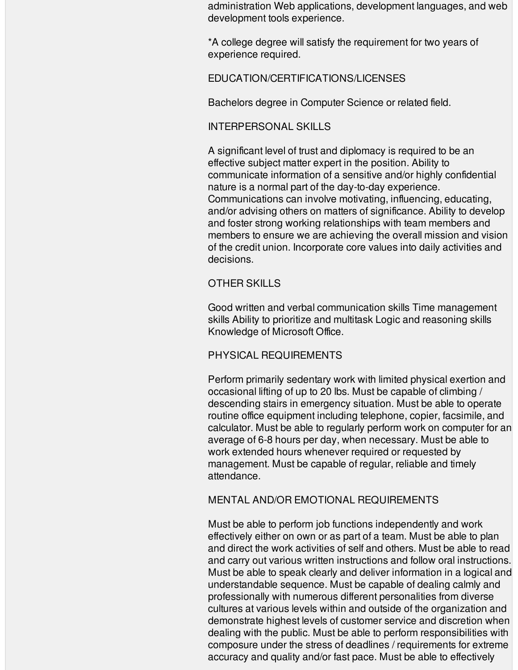administration Web applications, development languages, and web development tools experience.

\*A college degree will satisfy the requirement for two years of experience required.

## EDUCATION/CERTIFICATIONS/LICENSES

Bachelors degree in Computer Science or related field.

## INTERPERSONAL SKILLS

A significant level of trust and diplomacy is required to be an effective subject matter expert in the position. Ability to communicate information of a sensitive and/or highly confidential nature is a normal part of the day-to-day experience. Communications can involve motivating, influencing, educating, and/or advising others on matters of significance. Ability to develop and foster strong working relationships with team members and members to ensure we are achieving the overall mission and vision of the credit union. Incorporate core values into daily activities and decisions.

# OTHER SKILLS

Good written and verbal communication skills Time management skills Ability to prioritize and multitask Logic and reasoning skills Knowledge of Microsoft Office.

# PHYSICAL REQUIREMENTS

Perform primarily sedentary work with limited physical exertion and occasional lifting of up to 20 lbs. Must be capable of climbing / descending stairs in emergency situation. Must be able to operate routine office equipment including telephone, copier, facsimile, and calculator. Must be able to regularly perform work on computer for an average of 6-8 hours per day, when necessary. Must be able to work extended hours whenever required or requested by management. Must be capable of regular, reliable and timely attendance.

### MENTAL AND/OR EMOTIONAL REQUIREMENTS

Must be able to perform job functions independently and work effectively either on own or as part of a team. Must be able to plan and direct the work activities of self and others. Must be able to read and carry out various written instructions and follow oral instructions. Must be able to speak clearly and deliver information in a logical and understandable sequence. Must be capable of dealing calmly and professionally with numerous different personalities from diverse cultures at various levels within and outside of the organization and demonstrate highest levels of customer service and discretion when dealing with the public. Must be able to perform responsibilities with composure under the stress of deadlines / requirements for extreme accuracy and quality and/or fast pace. Must be able to effectively